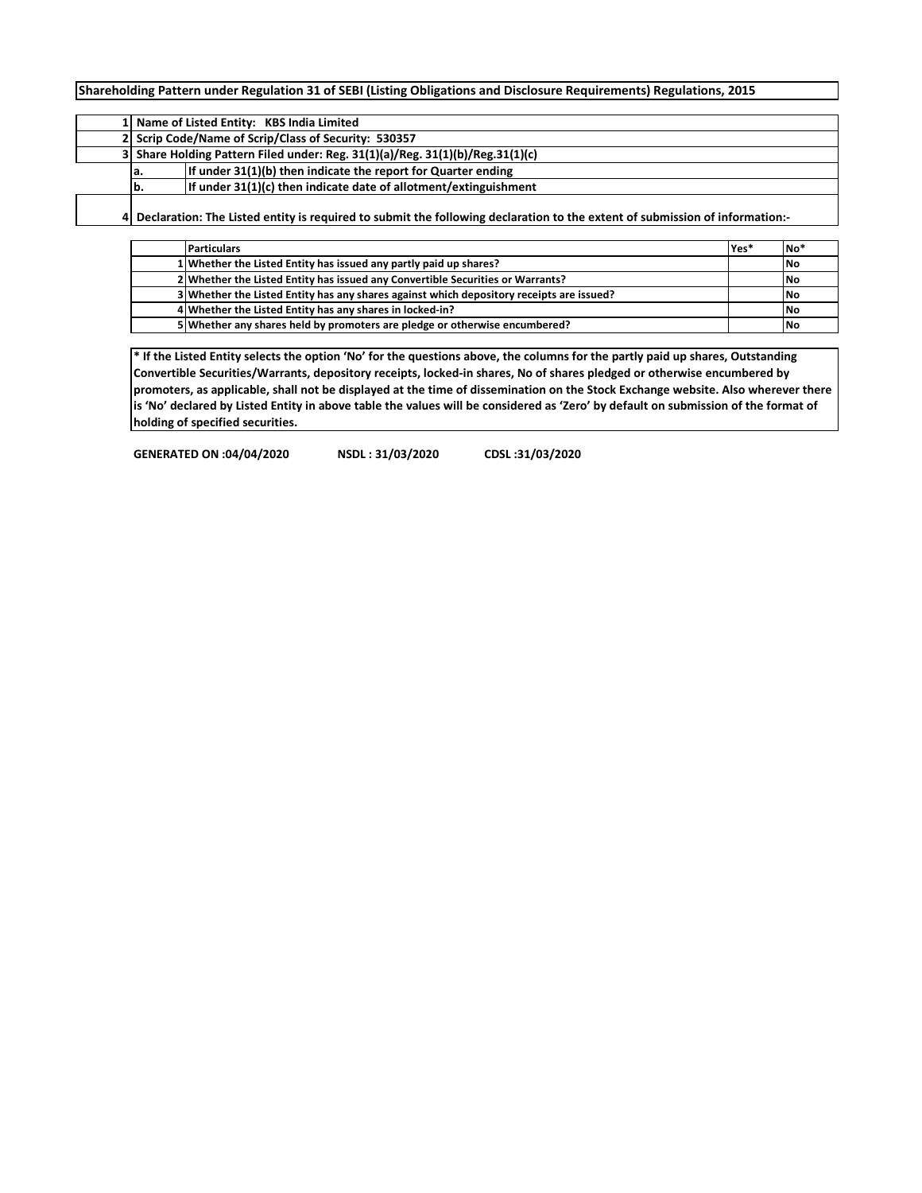**Shareholding Pattern under Regulation 31 of SEBI (Listing Obligations and Disclosure Requirements) Regulations, 2015**

|                                                                               | 1 Name of Listed Entity: KBS India Limited                                                                                  |  |  |  |  |  |  |  |  |  |  |  |
|-------------------------------------------------------------------------------|-----------------------------------------------------------------------------------------------------------------------------|--|--|--|--|--|--|--|--|--|--|--|
| 2 Scrip Code/Name of Scrip/Class of Security: 530357                          |                                                                                                                             |  |  |  |  |  |  |  |  |  |  |  |
| 3 Share Holding Pattern Filed under: Reg. 31(1)(a)/Reg. 31(1)(b)/Reg.31(1)(c) |                                                                                                                             |  |  |  |  |  |  |  |  |  |  |  |
| а.                                                                            | If under 31(1)(b) then indicate the report for Quarter ending                                                               |  |  |  |  |  |  |  |  |  |  |  |
| lb.                                                                           | If under 31(1)(c) then indicate date of allotment/extinguishment                                                            |  |  |  |  |  |  |  |  |  |  |  |
|                                                                               | Declaration: The Listed entity is required to submit the following declaration to the extent of submission of information:- |  |  |  |  |  |  |  |  |  |  |  |

**Particulars Yes\* No\* Whether the Listed Entity has issued any partly paid up shares? <b>No No No Whether the Listed Entity has issued any Convertible Securities or Warrants? <b>No No No**  Whether the Listed Entity has any shares against which depository receipts are issued?<br> **4** Whether the Listed Entity has any shares in locked-in?<br>
No Whether the Listed Entity has any shares in locked-in? **Whether any shares held by promoters are pledge or otherwise encumbered? No**

**\* If the Listed Entity selects the option 'No' for the questions above, the columns for the partly paid up shares, Outstanding Convertible Securities/Warrants, depository receipts, locked-in shares, No of shares pledged or otherwise encumbered by promoters, as applicable, shall not be displayed at the time of dissemination on the Stock Exchange website. Also wherever there is 'No' declared by Listed Entity in above table the values will be considered as 'Zero' by default on submission of the format of holding of specified securities.**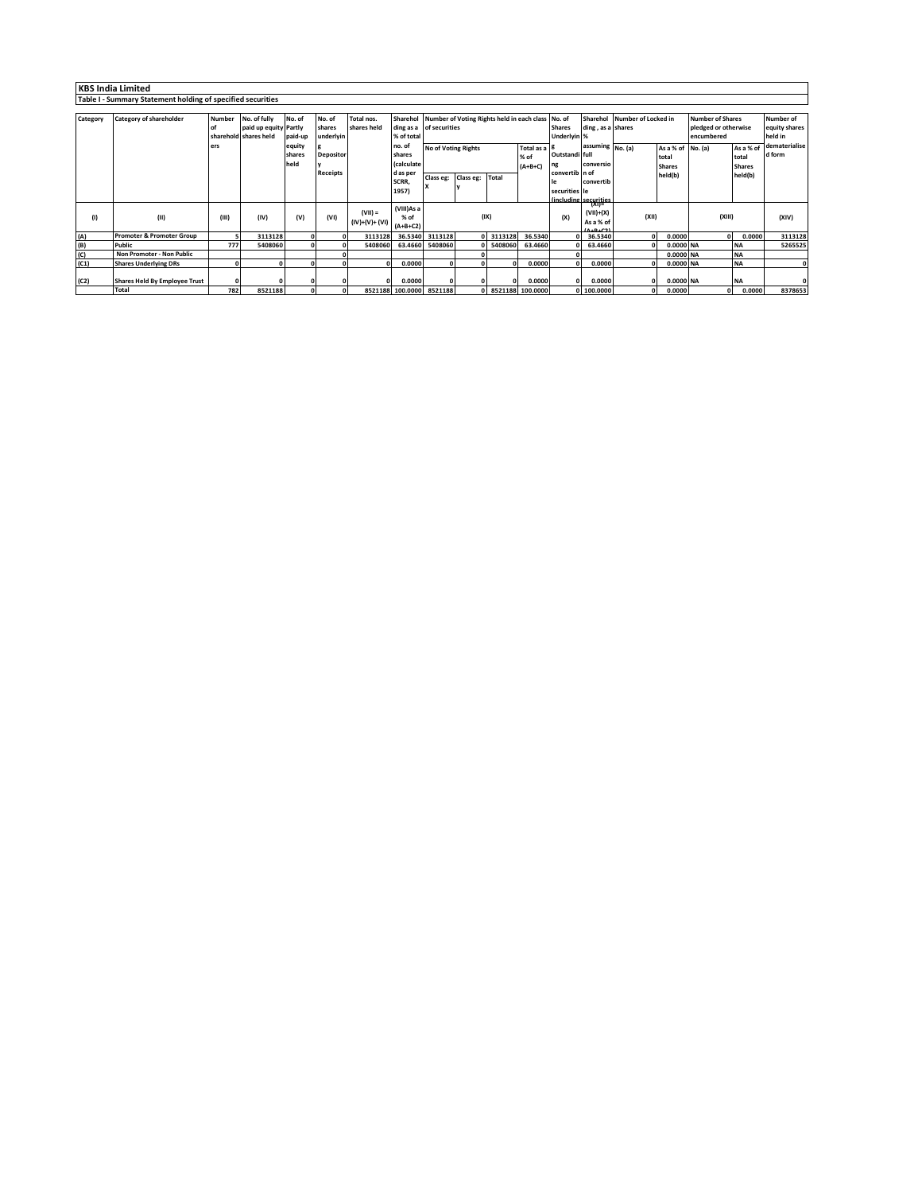|          | <b>KBS India Limited</b>                                    |               |                       |              |                  |                 |                          |                                          |            |                                            |                  |                    |                                 |                     |                   |                         |                  |               |
|----------|-------------------------------------------------------------|---------------|-----------------------|--------------|------------------|-----------------|--------------------------|------------------------------------------|------------|--------------------------------------------|------------------|--------------------|---------------------------------|---------------------|-------------------|-------------------------|------------------|---------------|
|          | Table I - Summary Statement holding of specified securities |               |                       |              |                  |                 |                          |                                          |            |                                            |                  |                    |                                 |                     |                   |                         |                  |               |
|          |                                                             |               |                       |              |                  |                 |                          |                                          |            |                                            |                  |                    |                                 |                     |                   |                         |                  |               |
| Category | Category of shareholder                                     | <b>Number</b> | No. of fully          | No. of       | No. of           | Total nos.      | Sharehol                 |                                          |            | Number of Voting Rights held in each class |                  | No. of<br>Sharehol |                                 | Number of Locked in |                   | <b>Number of Shares</b> | <b>Number of</b> |               |
|          |                                                             |               | paid up equity Partly |              | shares           | shares held     | ding as a of securities  |                                          |            |                                            |                  | <b>Shares</b>      | ding, as a shares               |                     |                   | pledged or otherwise    | equity shares    |               |
|          |                                                             |               | sharehold shares held | paid-up      | underlyin        |                 | % of total               |                                          |            |                                            |                  | Underlyin %        |                                 |                     |                   | encumbered              |                  | held in       |
|          |                                                             | ers           |                       | equity       |                  |                 | no. of                   | <b>No of Voting Rights</b><br>Total as a |            |                                            |                  |                    | assuming No. (a)                |                     | As a % of No. (a) |                         | As a % of        | dematerialise |
|          |                                                             |               |                       | shares       | <b>Depositor</b> |                 | shares                   | % of                                     |            |                                            |                  | Outstandi full     |                                 |                     | total             |                         | total            | d form        |
|          |                                                             |               |                       | held         |                  |                 | (calculate               |                                          |            |                                            | $(A+B+C)$        | ng                 | conversio                       |                     | <b>Shares</b>     |                         | <b>Shares</b>    |               |
|          |                                                             |               |                       |              | Receipts         |                 | d as per                 | Class eg:                                | Class eg:  | Total                                      |                  | convertib in of    |                                 |                     | held(b)           |                         | held(b)          |               |
|          |                                                             |               |                       |              |                  |                 | SCRR,                    |                                          |            |                                            |                  |                    | convertib                       |                     |                   |                         |                  |               |
|          |                                                             |               |                       |              |                  |                 | 1957)                    |                                          |            |                                            |                  | securities le      |                                 |                     |                   |                         |                  |               |
|          |                                                             |               |                       |              |                  |                 | (VIII)As a               |                                          |            |                                            |                  |                    | (including securities<br>`(XI)≡ |                     |                   |                         |                  |               |
| (1)      | (II)                                                        | (III)         | (IV)                  | (V)          | (VI)             | $(VII) =$       | % of                     |                                          |            | (IX)                                       |                  | (X)                | $(VII)+(X)$                     | (XII)               |                   | (XIII)                  |                  | (XIV)         |
|          |                                                             |               |                       |              |                  | $(IV)+(V)+(VI)$ | $(A+B+C2)$               |                                          |            |                                            |                  |                    | As a % of                       |                     |                   |                         |                  |               |
|          |                                                             |               |                       |              |                  |                 |                          |                                          |            |                                            |                  |                    |                                 |                     |                   |                         |                  |               |
| (A)      | <b>Promoter &amp; Promoter Group</b>                        |               | 3113128               | $\Omega$     | 0                | 3113128         | 36.5340                  | 3113128                                  | $\Omega$   | 3113128                                    | 36.5340          |                    | 36.5340                         | $\Omega$            | 0.0000            | $\Omega$                | 0.0000           | 3113128       |
| (B)      | <b>Public</b>                                               | 777           | 5408060               | $\mathbf{r}$ |                  | 5408060         | 63.4660                  | 5408060                                  | ΩL         | 5408060                                    | 63.4660          |                    | 63.4660                         |                     | 0.0000 NA         |                         | <b>NA</b>        | 5265525       |
| (C)      | Non Promoter - Non Public                                   |               |                       |              |                  |                 |                          |                                          |            |                                            |                  |                    |                                 |                     | 0.0000 NA         |                         | <b>NA</b>        |               |
| (C1)     | <b>Shares Underlying DRs</b>                                | $\Omega$      | n                     |              |                  |                 | 0.0000                   |                                          | $\Omega$   |                                            | 0.0000           |                    | 0.0000                          |                     | 0.0000 NA         |                         | <b>NA</b>        | $\Omega$      |
|          |                                                             |               |                       |              |                  |                 |                          |                                          |            |                                            |                  |                    |                                 |                     |                   |                         |                  |               |
| (C2)     | <b>Shares Held By Employee Trust</b>                        | $\Omega$      |                       |              |                  |                 | 0.0000                   |                                          |            |                                            | 0.0000           | $\Omega$           | 0.0000                          |                     | 0.0000 NA         |                         | <b>NA</b>        | ۵I            |
|          | <b>Total</b>                                                | 782           | 8521188               |              |                  |                 | 8521188 100.0000 8521188 |                                          | $^{\circ}$ |                                            | 8521188 100.0000 |                    | 0 100.0000                      |                     | 0.0000            | $\Omega$                | 0.0000           | 8378653       |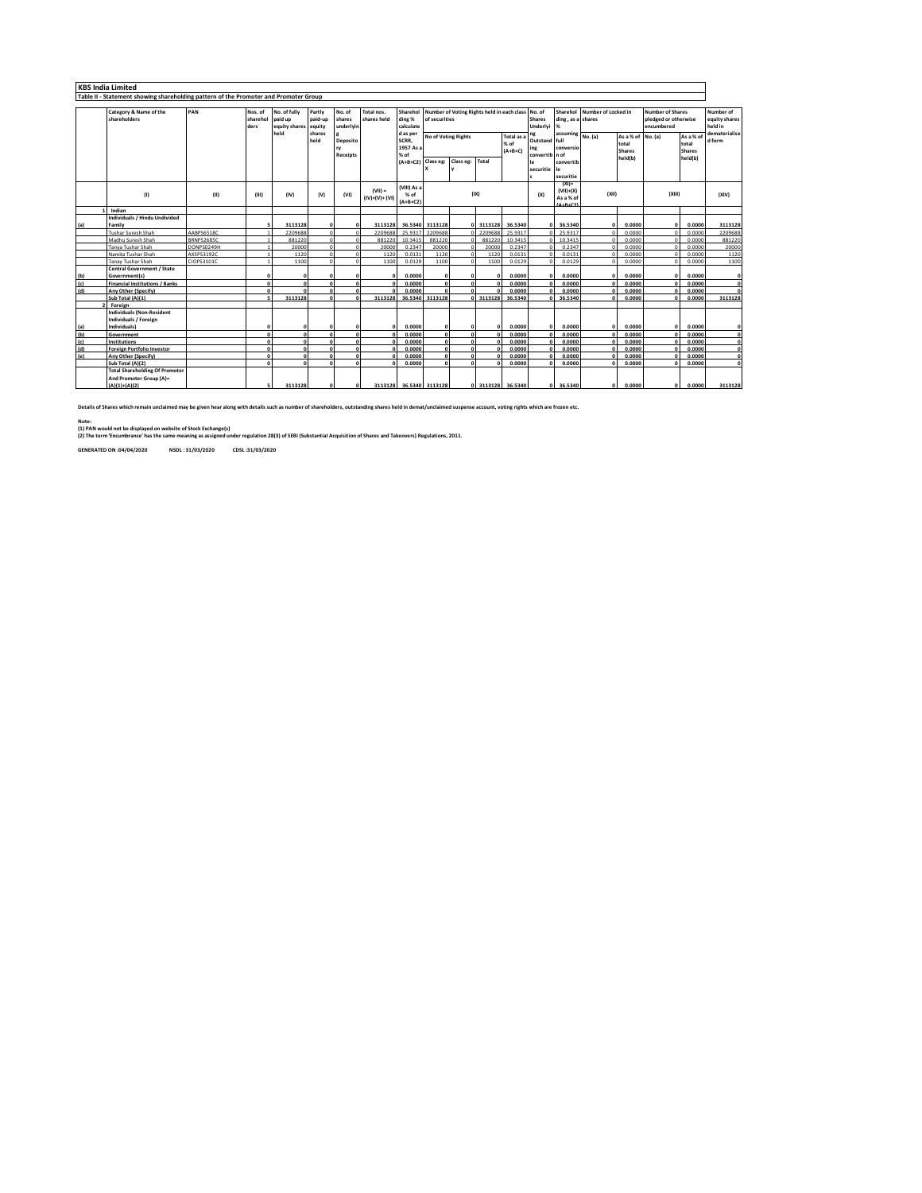|     | <b>KBS India Limited</b>                                                             |            |                             |                                                  |                                       |                                    |                           |                                                      |                                                                    |               |                                                                   |                   |                                                            |                                                          |                              |                                                        |                                                               |                                                |                                                        |
|-----|--------------------------------------------------------------------------------------|------------|-----------------------------|--------------------------------------------------|---------------------------------------|------------------------------------|---------------------------|------------------------------------------------------|--------------------------------------------------------------------|---------------|-------------------------------------------------------------------|-------------------|------------------------------------------------------------|----------------------------------------------------------|------------------------------|--------------------------------------------------------|---------------------------------------------------------------|------------------------------------------------|--------------------------------------------------------|
|     | Table II - Statement showing shareholding pattern of the Promoter and Promoter Group |            |                             |                                                  |                                       |                                    |                           |                                                      |                                                                    |               |                                                                   |                   |                                                            |                                                          |                              |                                                        |                                                               |                                                |                                                        |
|     | Category & Name of the<br>shareholders                                               | PAN        | Nos. of<br>sharehol<br>ders | No. of fully<br>paid up<br>equity shares<br>held | Partly<br>paid-up<br>equity<br>shares | No. of<br>shares<br>underlvin      | Total nos.<br>shares held | Sharehol<br>ding %<br>calculate                      | Number of Voting Rights held in each class No. of<br>of securities |               |                                                                   |                   | <b>Shares</b><br>Underlvi                                  | ding, as a shares<br>%                                   | Sharehol Number of Locked in |                                                        | <b>Number of Shares</b><br>pledged or otherwise<br>encumbered |                                                | Number of<br>equity shares<br>held in<br>dematerialise |
|     |                                                                                      |            |                             |                                                  | held                                  | <b>Deposito</b><br><b>Receipts</b> |                           | d as per<br>SCRR,<br>1957 As a<br>% of<br>$(A+B+C2)$ | No of Voting Rights                                                |               | <b>Total as</b><br>% of<br>$(A+B+C)$<br>Class eg: Class eg: Total |                   | ng<br>Outstand full<br>ing<br>convertib<br>le<br>securitie | assuming No. (a)<br>conversio<br>n of<br>convertib<br>le |                              | As a % of No. (a)<br>total<br><b>Shares</b><br>held(b) |                                                               | As a % of<br>total<br><b>Shares</b><br>held(b) | d form                                                 |
|     | (1)                                                                                  | (II)       | (III)                       | (IV)                                             | (V)                                   | (v <sub>1</sub> )                  | $(VIII) =$                | (VIII) As a<br>$%$ of                                |                                                                    | (IX)          |                                                                   |                   | securitie<br>$(XI)$ =<br>$(VII)+(X)$<br>(X)                |                                                          | (XII)                        |                                                        | (XIII)                                                        |                                                | (XIV)                                                  |
|     |                                                                                      |            |                             |                                                  |                                       |                                    | $(IV)+(V)+(VI)$           | $(A+B+C2)$                                           |                                                                    |               |                                                                   |                   |                                                            | As a % of                                                |                              |                                                        |                                                               |                                                |                                                        |
|     | Indian                                                                               |            |                             |                                                  |                                       |                                    |                           |                                                      |                                                                    |               |                                                                   |                   |                                                            |                                                          |                              |                                                        |                                                               |                                                |                                                        |
|     | Individuals / Hindu Undivided                                                        |            |                             |                                                  |                                       |                                    |                           |                                                      |                                                                    |               |                                                                   |                   |                                                            |                                                          |                              |                                                        |                                                               |                                                |                                                        |
| (a) | Family<br><b>Tushar Suresh Shah</b>                                                  | AABPS6518C |                             | 3113128<br>2209688                               | $\circ$<br>$\Omega$                   | $\Omega$<br>$\Omega$               | 3113128<br>2209688        | 25.9317                                              | 36.5340 3113128<br>2209688                                         |               | 0 3113128<br>220968                                               | 36,5340<br>25.931 | n                                                          | 36,5340<br>25.9317                                       | $\Omega$                     | 0.0000<br>0.0000                                       | n                                                             | 0.0000<br>0.0000                               | 3113128<br>2209688                                     |
|     | Madhu Suresh Shah                                                                    | BRNPS2685C |                             | 881220                                           | $\Omega$                              | $\Omega$                           | 881220                    | 10.3415                                              | 881220                                                             | O.            | 88122                                                             | 10.3415           |                                                            | 10.3415                                                  |                              | 0.0000                                                 |                                                               | 0.0000                                         | 881220                                                 |
|     | Tanya Tushar Shah                                                                    | DONPS0249H |                             | 20000                                            |                                       | $\Omega$                           | 20000                     | 0.2347                                               | 20000                                                              |               | 2000                                                              | 0.2347            |                                                            | 0.2347                                                   |                              | 0.0000                                                 |                                                               | 0.0000                                         | 20000                                                  |
|     | Namita Tushar Shah                                                                   | AXSPS3192C |                             | 1120                                             |                                       |                                    | 1120                      | 0.0131                                               | 1120                                                               |               | 1120                                                              | 0.0131            |                                                            | 0.0131                                                   |                              | 0.0000                                                 |                                                               | 0.0000                                         | 1120                                                   |
|     | Tanav Tushar Shah                                                                    | CIOPS3101C |                             | 1100                                             |                                       |                                    | 1100                      | 0.0129                                               | 1100                                                               |               | 1100                                                              | 0.0129            |                                                            | 0.0129                                                   |                              | 0.0000                                                 |                                                               | 0.0000                                         | 1100                                                   |
|     | Central Government / State                                                           |            |                             |                                                  |                                       |                                    |                           |                                                      |                                                                    |               |                                                                   |                   |                                                            |                                                          |                              |                                                        |                                                               |                                                |                                                        |
| (b) | Government(s)                                                                        |            | n                           |                                                  | n                                     | n                                  |                           | 0.0000                                               |                                                                    | $\Omega$      |                                                                   | 0.0000            |                                                            | 0.0000                                                   | n                            | 0.0000                                                 |                                                               | 0.0000                                         | $\circ$                                                |
| (c) | <b>Financial Institutions / Banks</b>                                                |            | $\sqrt{2}$                  |                                                  | $\Omega$                              | $\mathbf{0}$                       |                           | 0.0000                                               | $\Omega$                                                           | $\mathbf{o}$  |                                                                   | 0.0000            |                                                            | 0.0000                                                   |                              | 0.0000                                                 |                                                               | 0.0000                                         | $\circ$                                                |
| (d) | Any Other (Specify)                                                                  |            | $\mathbf{a}$                |                                                  | $\sqrt{2}$                            | $\Omega$                           |                           | 0.0000                                               |                                                                    | $\Omega$      |                                                                   | 0.0000            |                                                            | 0.0000                                                   |                              | 0.0000                                                 |                                                               | 0.0000                                         | $\Omega$                                               |
|     | Sub Total (A)(1)                                                                     |            | ×,                          | 3113128                                          | $\mathbf{r}$                          | $\Omega$                           | 3113128                   |                                                      | 36.5340 3113128                                                    |               | 0 3113128                                                         | 36,5340           |                                                            | 36,5340                                                  |                              | 0.0000                                                 |                                                               | 0.0000                                         | 3113128                                                |
|     | Foreign                                                                              |            |                             |                                                  |                                       |                                    |                           |                                                      |                                                                    |               |                                                                   |                   |                                                            |                                                          |                              |                                                        |                                                               |                                                |                                                        |
|     | <b>Individuals (Non-Resident</b><br><b>Individuals / Foreign</b>                     |            |                             |                                                  |                                       |                                    |                           |                                                      |                                                                    |               |                                                                   |                   |                                                            |                                                          |                              |                                                        |                                                               |                                                |                                                        |
| (a) | Individuals]                                                                         |            | n                           |                                                  | n                                     |                                    | n                         | 0.0000                                               | $\Omega$                                                           | O             |                                                                   | 0.0000            |                                                            | 0.0000                                                   | n                            | 0.0000                                                 |                                                               | 0.0000                                         | $\Omega$                                               |
| (b) | Government                                                                           |            | $\mathbf{a}$                |                                                  | $\sqrt{2}$                            | $\Omega$                           |                           | 0.0000                                               | $\Omega$                                                           | $\Omega$      |                                                                   | 0.0000            |                                                            | 0.0000                                                   |                              | 0.0000                                                 |                                                               | 0.0000                                         | $\mathbf{0}$                                           |
| (c) | Institutions                                                                         |            | $\sqrt{2}$                  |                                                  | $\Omega$                              | $\mathbf{0}$                       |                           | 0.0000                                               | $\mathbf{0}$                                                       | $\mathbf{o}$  |                                                                   | 0.0000            |                                                            | 0.0000                                                   |                              | 0.0000                                                 |                                                               | 0.0000                                         | $\mathbf{0}$                                           |
| (d) | <b>Foreign Portfolio Investor</b>                                                    |            | $\mathbf{a}$                |                                                  | $\sqrt{2}$                            | $\Omega$                           |                           | 0.0000                                               | $\sqrt{2}$                                                         | $\Omega$      |                                                                   | 0.0000            |                                                            | 0.0000                                                   |                              | 0.0000                                                 |                                                               | 0.0000                                         | $\mathbf{0}$                                           |
| (e) | <b>Any Other (Specify)</b><br>Sub Total (A)(2)                                       |            | n<br>$\sqrt{2}$             |                                                  | $\mathbf{r}$<br>$\sqrt{2}$            | $\Omega$<br>$\sqrt{2}$             |                           | 0.0000                                               | $\Omega$                                                           | $\Omega$<br>n |                                                                   | 0.0000            |                                                            | 0.0000<br>0.0000                                         |                              | 0.0000                                                 |                                                               | 0.0000<br>0.0000                               | $\overline{0}$<br>$\sqrt{2}$                           |
|     |                                                                                      |            |                             |                                                  |                                       |                                    |                           | 0.0000                                               |                                                                    |               |                                                                   | 0.0000            |                                                            |                                                          |                              | 0.0000                                                 |                                                               |                                                |                                                        |
|     | <b>Total Shareholding Of Promoter</b><br>And Promoter Group (A)=                     |            |                             |                                                  |                                       |                                    |                           |                                                      |                                                                    |               |                                                                   |                   |                                                            |                                                          |                              |                                                        |                                                               |                                                |                                                        |
|     | $(A)(1)+(A)(2)$                                                                      |            |                             | 3113128                                          | $\Omega$                              | $\Omega$                           |                           | 3113128 36,5340 3113128                              |                                                                    |               | 0 3113128                                                         | 36.5340           | $\Omega$                                                   | 36,5340                                                  | $\Omega$                     | 0.0000                                                 | $\Omega$                                                      | 0.0000                                         | 3113128                                                |

**Details of Shares which remain unclaimed may be given hear along with details such as number of shareholders, outstanding shares held in demat/unclaimed suspense account, voting rights which are frozen etc.**

Note:<br>(1) PAN would not be displayed on website of Stock Exchange(s)<br>(2) The term 'Encumbrance' has the same meaning as assigned under regulation 28(3) of SEBI (Substantial Acquisition of Shares and Takeovers) Regulations,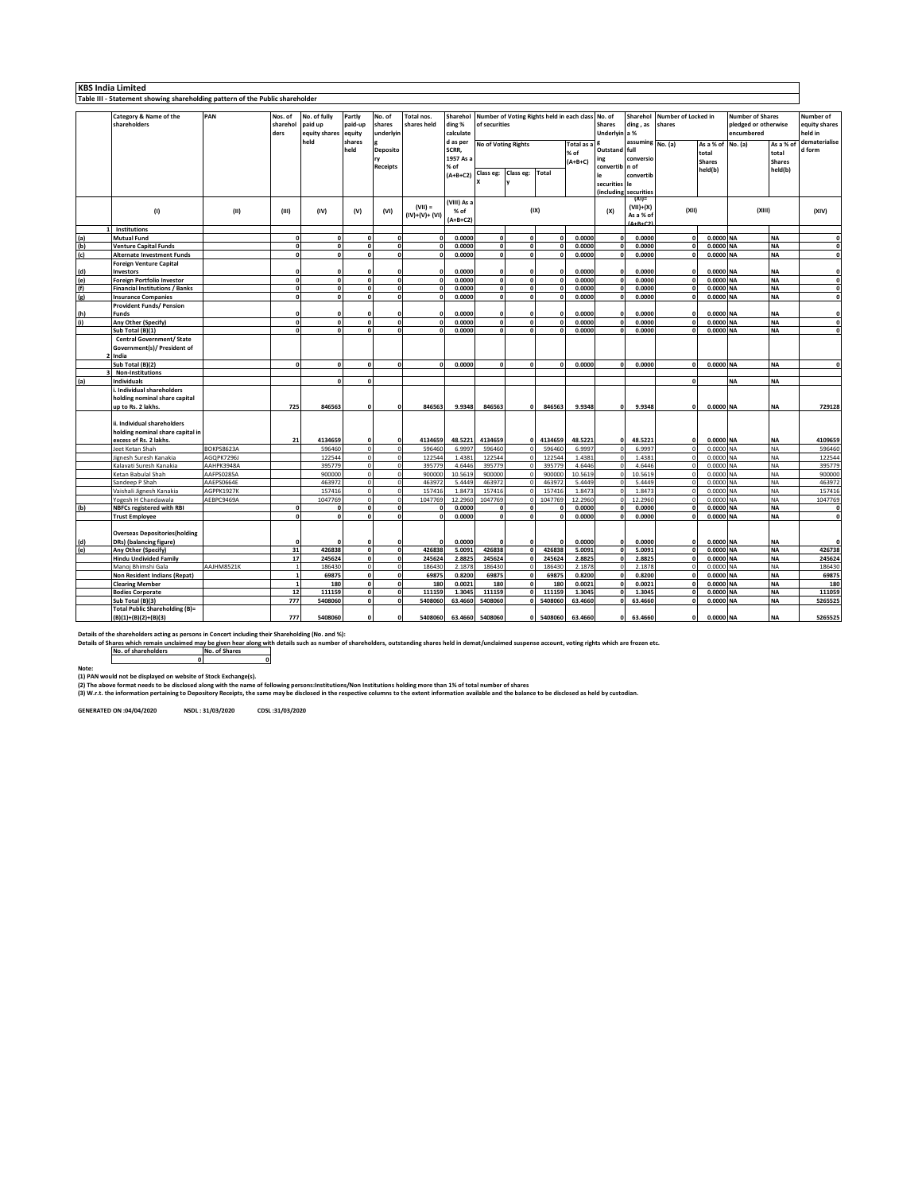|                       | <b>KBS India Limited</b>                                                                                                                                                                                                     |                   |                  |                       |                  |                          |                         |                     |                        |                            |                     |                                   |                          |                          |                          |                        |                      |                          |                          |
|-----------------------|------------------------------------------------------------------------------------------------------------------------------------------------------------------------------------------------------------------------------|-------------------|------------------|-----------------------|------------------|--------------------------|-------------------------|---------------------|------------------------|----------------------------|---------------------|-----------------------------------|--------------------------|--------------------------|--------------------------|------------------------|----------------------|--------------------------|--------------------------|
|                       | Table III - Statement showing shareholding pattern of the Public shareholder                                                                                                                                                 |                   |                  |                       |                  |                          |                         |                     |                        |                            |                     |                                   |                          |                          |                          |                        |                      |                          |                          |
|                       | PAN<br>Category & Name of the<br>Nos. of<br>No. of fully<br>Partly<br>No. of<br>Total nos.<br>Sharehol<br>Number of Voting Rights held in each class<br>No. of<br>Sharehol<br>Number of Locked in<br><b>Number of Shares</b> |                   |                  |                       |                  |                          |                         |                     |                        |                            |                     |                                   |                          |                          |                          |                        |                      |                          |                          |
|                       |                                                                                                                                                                                                                              |                   |                  |                       |                  |                          |                         |                     |                        |                            |                     |                                   |                          |                          |                          |                        |                      |                          | Number of                |
|                       | shareholders                                                                                                                                                                                                                 |                   | sharehol<br>ders | paid up               | paid-up          | shares<br>underlyin      | shares held             | ding %<br>calculate | of securities          |                            |                     | <b>Shares</b>                     | ding, as                 | shares                   |                          | encumbered             | pledged or otherwise | equity shares<br>held in |                          |
|                       |                                                                                                                                                                                                                              |                   |                  | equity shares<br>held | equity<br>shares |                          |                         | d as per            |                        |                            |                     | Underlyin a %<br>assuming No. (a) |                          |                          |                          |                        |                      | dematerialise            |                          |
|                       |                                                                                                                                                                                                                              |                   |                  |                       | held             | Deposito                 |                         | SCRR,               |                        | <b>No of Voting Rights</b> |                     | Total as:                         | Outstand full            |                          |                          | As a % of              | No. (a)              | As a % o                 | d form                   |
|                       |                                                                                                                                                                                                                              |                   |                  |                       |                  | ry                       |                         | 1957 As a           |                        |                            |                     | % of                              | ing                      | conversio                |                          | total                  |                      | total                    |                          |
|                       |                                                                                                                                                                                                                              |                   |                  |                       |                  | <b>Receipts</b>          |                         | % of                |                        |                            |                     | $(A+B+C)$                         | convertib                | n of                     |                          | <b>Shares</b>          |                      | <b>Shares</b><br>held(b) |                          |
|                       |                                                                                                                                                                                                                              |                   |                  |                       |                  |                          |                         | $(A+B+C2)$          | Class eg:              | Class eg:                  | Total               |                                   |                          | convertib                |                          | held(b)                |                      |                          |                          |
|                       |                                                                                                                                                                                                                              |                   |                  |                       |                  |                          |                         |                     |                        |                            |                     |                                   | securities               | le                       |                          |                        |                      |                          |                          |
|                       |                                                                                                                                                                                                                              |                   |                  |                       |                  |                          |                         |                     |                        |                            |                     |                                   | (including               | securities               |                          |                        |                      |                          |                          |
|                       |                                                                                                                                                                                                                              |                   |                  |                       |                  |                          | $(VII) =$               | (VIII) As a         |                        |                            |                     |                                   |                          | (XI)                     |                          |                        |                      |                          |                          |
|                       | (1)                                                                                                                                                                                                                          | (11)              | (III)            | (IV)                  | (V)              | (VI)                     | $(IV)+(V)+(VI)$         | % of                |                        |                            | (IX)                |                                   | (X)                      | $(VII)+(X)$<br>As a % of | (XII)                    |                        |                      | (X  )                    | (XIV)                    |
|                       |                                                                                                                                                                                                                              |                   |                  |                       |                  |                          |                         | $(A+B+C2)$          |                        |                            |                     |                                   |                          |                          |                          |                        |                      |                          |                          |
|                       | Institutions                                                                                                                                                                                                                 |                   |                  |                       |                  |                          |                         |                     |                        |                            |                     |                                   |                          |                          |                          |                        |                      |                          |                          |
| (a)                   | <b>Mutual Fund</b>                                                                                                                                                                                                           |                   | n                |                       |                  | $\mathbf{r}$             | n                       | 0.0000              | $\Omega$               | $\mathbf 0$                | $\Omega$            | 0.0000                            | 0                        | 0.0000                   | $\Omega$                 | 0.0000 NA              |                      | <b>NA</b>                | $\mathbf{0}$             |
| (b)                   | <b>Venture Capital Funds</b>                                                                                                                                                                                                 |                   | $\sqrt{2}$       |                       |                  | $\Omega$                 |                         | 0.0000              | $\mathbf 0$            | $\mathbf{0}$               | $\Omega$            | 0.0000                            | $\mathbf{0}$             | 0.0000                   | $\Omega$                 | 0.0000 NA              |                      | <b>NA</b>                | $\mathbf{0}$             |
| (c)                   | <b>Alternate Investment Funds</b>                                                                                                                                                                                            |                   | $\mathbf{r}$     | $\sqrt{2}$            | $\sqrt{2}$       | $\mathbf{0}$             | $\sqrt{2}$              | 0.0000              | $\mathbf{o}$           | $\mathbf{0}$               | $\mathbf{a}$        | 0.0000                            | <sub>n</sub>             | 0.0000                   |                          | 0.0000 NA              |                      | <b>NA</b>                | $\mathbf 0$              |
|                       | <b>Foreign Venture Capital</b>                                                                                                                                                                                               |                   |                  |                       |                  |                          |                         |                     |                        |                            |                     |                                   |                          |                          |                          |                        |                      |                          |                          |
| (d)                   | <b>Investors</b>                                                                                                                                                                                                             |                   | $\mathbf{a}$     | $\mathbf{a}$          | $\mathbf{a}$     | $\mathbf{0}$             | $\sqrt{2}$              | 0.0000              | $\mathbf{o}$           |                            | $\mathbf{o}$        | 0.0000                            | 0                        | 0.0000                   | $\mathbf{0}$             | 0.0000 NA              |                      | <b>NA</b>                | $\Omega$<br>$\mathbf{0}$ |
| (e)<br>$\overline{f}$ | <b>Foreign Portfolio Investor</b><br><b>Financial Institutions / Banks</b>                                                                                                                                                   |                   |                  |                       |                  | $\mathbf{0}$             |                         | 0.0000<br>0.0000    | $\mathbf 0$            | $\mathbf 0$<br>$\mathbf 0$ | $\Omega$            | 0.0000<br>0.0000                  | $\Omega$                 | 0.0000<br>0.0000         | $\Omega$                 | 0.0000 NA<br>0.0000 NA |                      | <b>NA</b><br><b>NA</b>   | $\mathbf{0}$             |
| (g)                   | <b>Insurance Companies</b>                                                                                                                                                                                                   |                   | $\mathbf{r}$     | n                     | $\Omega$         | $\mathbf{0}$             | o                       | 0.0000              | $\mathbf{o}$           | o                          | $\mathbf 0$         | 0.0000                            | $\mathbf{0}$             | 0.0000                   | $\Omega$                 | 0.0000 NA              |                      | <b>NA</b>                | 0                        |
|                       | <b>Provident Funds/ Pension</b>                                                                                                                                                                                              |                   |                  |                       |                  |                          |                         |                     |                        |                            |                     |                                   |                          |                          |                          |                        |                      |                          |                          |
| (h)                   | <b>Funds</b>                                                                                                                                                                                                                 |                   |                  |                       |                  |                          |                         | 0.0000              | $\Omega$               | $\Omega$                   | $\Omega$            | 0.0000                            |                          | 0.0000                   |                          | 0.0000                 | <b>NA</b>            | <b>NA</b>                | $\mathbf{0}$             |
| (i)                   | Any Other (Specify)                                                                                                                                                                                                          |                   | $\Omega$         | n                     | $\Omega$         | $\mathbf{0}$             | o                       | 0.0000              | $\mathbf 0$            | o                          | $\mathbf 0$         | 0.0000                            | $\mathbf{0}$             | 0.0000                   | $\Omega$                 | 0.0000 NA              |                      | <b>NA</b>                | $\mathbf{0}$             |
|                       | Sub Total (B)(1)                                                                                                                                                                                                             |                   | $\mathbf{r}$     | $\mathbf{a}$          | $\sqrt{2}$       | $\mathbf{a}$             | $\sqrt{2}$              | 0.0000              | $\sqrt{2}$             | $\mathbf{o}$               | $\mathbf{a}$        | 0.0000                            | n                        | 0.0000                   | $\mathbf{a}$             | 0.0000 NA              |                      | <b>NA</b>                | $\mathbf 0$              |
|                       | <b>Central Government/ State</b>                                                                                                                                                                                             |                   |                  |                       |                  |                          |                         |                     |                        |                            |                     |                                   |                          |                          |                          |                        |                      |                          |                          |
|                       | Government(s)/ President of                                                                                                                                                                                                  |                   |                  |                       |                  |                          |                         |                     |                        |                            |                     |                                   |                          |                          |                          |                        |                      |                          |                          |
|                       | India                                                                                                                                                                                                                        |                   |                  |                       |                  |                          |                         |                     |                        |                            |                     |                                   |                          |                          |                          |                        |                      |                          |                          |
|                       | Sub Total (B)(2)                                                                                                                                                                                                             |                   | $\mathbf{a}$     | $\mathbf{r}$          |                  | $\mathbf 0$              | $\mathbf{a}$            | 0.0000              | $\mathbf{o}$           | $\mathbf{o}$               | $\mathbf{0}$        | 0.0000                            | $\mathbf{a}$             | 0.0000                   | $\mathbf{0}$             | 0.0000 NA              |                      | <b>NA</b>                | $\mathbf{0}$             |
|                       | Non-Institutions                                                                                                                                                                                                             |                   |                  |                       |                  |                          |                         |                     |                        |                            |                     |                                   |                          |                          |                          |                        |                      |                          |                          |
| (a)                   | Individuals                                                                                                                                                                                                                  |                   |                  |                       |                  |                          |                         |                     |                        |                            |                     |                                   |                          |                          |                          |                        | <b>NA</b>            | <b>NA</b>                |                          |
|                       | i. Individual shareholders                                                                                                                                                                                                   |                   |                  |                       |                  |                          |                         |                     |                        |                            |                     |                                   |                          |                          |                          |                        |                      |                          |                          |
|                       | holding nominal share capital<br>up to Rs. 2 lakhs.                                                                                                                                                                          |                   | 725              | 846563                |                  | n                        | 846563                  | 9.9348              | 846563                 |                            | 846563              | 9.9348                            |                          | 9.9348                   |                          | 0.0000 NA              |                      | <b>NA</b>                | 729128                   |
|                       |                                                                                                                                                                                                                              |                   |                  |                       |                  |                          |                         |                     |                        |                            |                     |                                   |                          |                          |                          |                        |                      |                          |                          |
|                       | ii. Individual shareholders                                                                                                                                                                                                  |                   |                  |                       |                  |                          |                         |                     |                        |                            |                     |                                   |                          |                          |                          |                        |                      |                          |                          |
|                       | holding nominal share capital in                                                                                                                                                                                             |                   |                  |                       |                  |                          |                         |                     |                        |                            |                     |                                   |                          |                          |                          |                        |                      |                          |                          |
|                       | excess of Rs. 2 lakhs.                                                                                                                                                                                                       |                   | 21               | 4134659               |                  | $\mathbf{0}$             | 4134659                 | 48.5221             | 4134659                | $\mathbf 0$                | 4134659             | 48.5221                           | $\Omega$                 | 48.5221                  | $\Omega$                 | 0.0000 NA              |                      | <b>NA</b>                | 4109659                  |
|                       | leet Ketan Shah                                                                                                                                                                                                              | <b>BOKPS8623A</b> |                  | 596460                | $\Omega$         | $\mathbf 0$              | 596460                  | 6.9997              | 596460                 | $\mathbf 0$                | 596460              | 6.9997                            | $\circ$                  | 6.9997                   | $\mathbf{0}$             | 0.0000 NA              |                      | <b>NA</b>                | 596460                   |
|                       | lignesh Suresh Kanakia                                                                                                                                                                                                       | AGQPK7296J        |                  | 122544                | $\Omega$         | $\mathbf 0$              | 122544                  | 1.4381              | 122544                 | $\pmb{0}$                  | 122544              | 1.4381                            | $\circ$                  | 1.4383                   | $\mathbf{0}$             | 0.0000 NA              |                      | <b>NA</b>                | 122544                   |
|                       | Kalavati Suresh Kanakia                                                                                                                                                                                                      | AAHPK3948A        |                  | 395779                |                  | $\Omega$                 | 395779                  | 4.6446              | 395779                 | $\mathbf 0$                | 395779              | 4.6446                            |                          | 4.6446                   |                          | 0.0000 NA              |                      | <b>NA</b>                | 395779                   |
|                       | Ketan Babulal Shah                                                                                                                                                                                                           | AAFPS0285A        |                  | 900000                | $\Omega$         | $\mathbf 0$              | 900000                  | 10.5619             | 900000                 | $\mathbf 0$                | 900000              | 10.5619                           | $\Omega$                 | 10.5619                  | $\Omega$                 | 0.0000 NA              |                      | <b>NA</b>                | 900000                   |
|                       | Sandeep P Shah                                                                                                                                                                                                               | AAEPS0664E        |                  | 463972                | $\Omega$         | $\mathbf 0$              | 463972                  | 5.4449              | 463972                 | $\circ$                    | 463972              | 5.4449                            | $\Omega$                 | 5.4449                   | $\mathbf{0}$             | 0.0000 NA              |                      | <b>NA</b>                | 463972                   |
|                       | Vaishali Jignesh Kanakia                                                                                                                                                                                                     | AGPPK1927K        |                  | 157416                |                  |                          | 157416                  | 1.8473              | 157416                 | $\Omega$                   | 157416              | 1.847                             |                          | 1.847                    |                          | 0.0000 NA              |                      | <b>NA</b>                | 157416                   |
|                       | Yogesh H Chandawala                                                                                                                                                                                                          | AEBPC9469A        | $\Omega$         | 1047769<br>$\Omega$   | $\Omega$         | $\Omega$<br>$\mathbf{0}$ | 1047769<br>$\mathbf{0}$ | 12.2960<br>0.0000   | 1047769<br>$\mathbf 0$ | $\Omega$<br>$\mathbf 0$    | 1047769<br>$\Omega$ | 12.2960<br>0.0000                 | $\Omega$<br>$\mathbf{0}$ | 12.2960<br>0.0000        | $\Omega$<br>$\mathbf{0}$ | 0.0000 NA<br>0.0000 NA |                      | <b>NA</b><br><b>NA</b>   | 1047769<br>$\mathbf{0}$  |
| (b)                   | <b>NBFCs registered with RBI</b><br><b>Trust Employee</b>                                                                                                                                                                    |                   |                  |                       |                  | $\overline{ }$           |                         | 0.0000              |                        |                            |                     | 0.0000                            |                          | 0.0000                   |                          | 0.0000 NA              |                      | <b>NA</b>                | $\Omega$                 |
|                       |                                                                                                                                                                                                                              |                   |                  |                       |                  |                          |                         |                     |                        |                            |                     |                                   |                          |                          |                          |                        |                      |                          |                          |
|                       | <b>Overseas Depositories (holding</b>                                                                                                                                                                                        |                   |                  |                       |                  |                          |                         |                     |                        |                            |                     |                                   |                          |                          |                          |                        |                      |                          |                          |
| (d)                   | DRs) (balancing figure)                                                                                                                                                                                                      |                   |                  |                       |                  |                          |                         | 0.0000              |                        |                            |                     | 0.000                             |                          | 0.0000                   |                          | 0.0000 NA              |                      | <b>NA</b>                |                          |
| (e)                   | Any Other (Specify)                                                                                                                                                                                                          |                   | 31               | 426838                | $\sqrt{2}$       | $\mathbf{0}$             | 426838                  | 5.0091              | 426838                 | $\mathbf 0$                | 426838              | 5.0091                            | $\mathbf{0}$             | 5.0091                   | $\Omega$                 | 0.0000 NA              |                      | <b>NA</b>                | 426738                   |
|                       | <b>Hindu Undivided Family</b>                                                                                                                                                                                                |                   | 17               | 245624                | $\Omega$         | $\mathbf{0}$             | 245624                  | 2.8825              | 245624                 | $\mathbf 0$                | 245624              | 2.8825                            | $\mathbf{0}$             | 2.8825                   | $\mathbf{0}$             | 0.0000 NA              |                      | <b>NA</b>                | 245624                   |
|                       | Manoj Bhimshi Gala                                                                                                                                                                                                           | AAJHM8521K        |                  | 186430                |                  | $\Omega$                 | 186430                  | 2.1878              | 186430                 | $\mathbf 0$                | 186430              | 2.1878                            |                          | 2.1878                   |                          | 0.0000 NA              |                      | <b>NA</b>                | 186430                   |
|                       | Non Resident Indians (Repat)                                                                                                                                                                                                 |                   |                  | 69875                 | $\Omega$         | $\Omega$                 | 69875                   | 0.8200              | 69875                  | $\mathbf 0$                | 69875               | 0.8200                            | O                        | 0.8200                   | $\Omega$                 | 0.0000 NA              |                      | <b>NA</b>                | 69875                    |
|                       | <b>Clearing Member</b>                                                                                                                                                                                                       |                   |                  | 180                   | $\Omega$         | $\mathbf{0}$             | 180                     | 0.0021              | 180                    | $\mathbf{0}$               | 180                 | 0.0021                            | $\mathbf{0}$             | 0.0021                   | $\mathbf{0}$             | 0.0000 NA              |                      | <b>NA</b>                | 180                      |
|                       | <b>Bodies Corporate</b>                                                                                                                                                                                                      |                   | 12               | 111159                | $\sqrt{2}$       | $\overline{\mathbf{0}}$  | 111159                  | 1.3045              | 111159                 | 0                          | 111159              | 1.3045                            | n.                       | 1.3045                   | $\Omega$                 | 0.0000 NA              |                      | <b>NA</b>                | 111059                   |
|                       | Sub Total (B)(3)                                                                                                                                                                                                             |                   | 777              | 5408060               | $\Omega$         | $\Omega$                 | 5408060                 | 63.4660             | 5408060                | $\mathbf{0}$               | 5408060             | 63.4660                           | ۵l                       | 63.4660                  | $\Omega$                 | 0.0000 NA              |                      | <b>NA</b>                | 5265525                  |
|                       | <b>Total Public Shareholding (B)=</b>                                                                                                                                                                                        |                   |                  |                       |                  |                          |                         |                     |                        |                            |                     |                                   |                          |                          |                          |                        |                      |                          |                          |
|                       | $(B)(1)+(B)(2)+(B)(3)$                                                                                                                                                                                                       |                   | 777              | 5408060               |                  | $\mathbf{r}$             | 5408060                 | 63.4660             | 5408060                |                            | 5408060             | 63.4660                           |                          | 63.4660                  |                          | 0.0000 NA              |                      | <b>NA</b>                | 5265525                  |

Details of the shareholders acting as persons in Concert including their Shareholding (No. and %):<br>Details of Shares which remain unclaimed may be given hear along with details such as number of shareholders, outstanding s

Note:<br>(1) PAN would not be displayed on website of Stock Exchange(s).<br>(2) The above format needs to be disclosed along With the name of following persons:Institutions/Non Institutions holding more than 1% of total number o